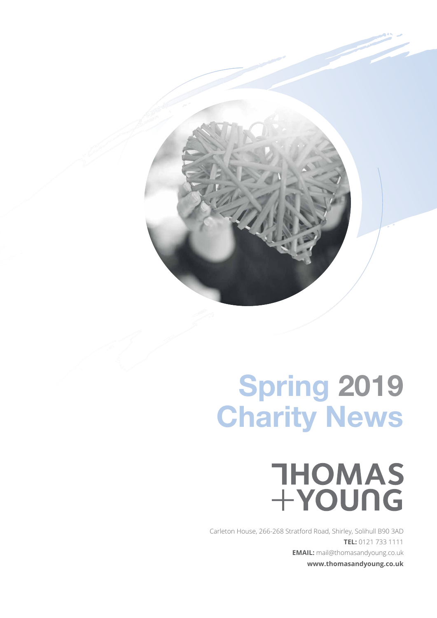## **Spring 2019 Charity News**

# THOMAS<br>+YOUNG

Carleton House, 266-268 Stratford Road, Shirley, Solihull B90 3AD **TEL:** 0121 733 1111 **EMAIL:** mail@thomasandyoung.co.uk **www.thomasandyoung.co.uk**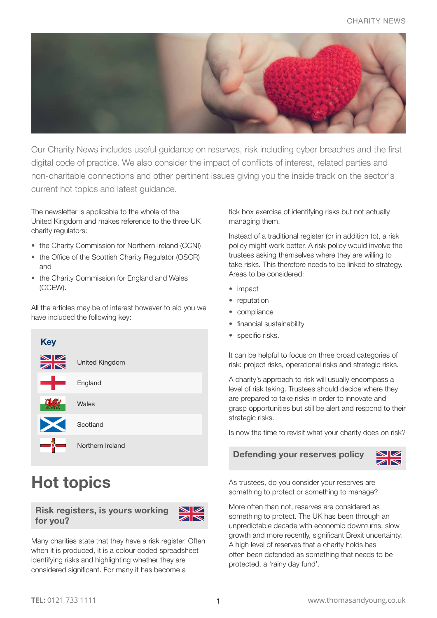

Our Charity News includes useful guidance on reserves, risk including cyber breaches and the first digital code of practice. We also consider the impact of conflicts of interest, related parties and non-charitable connections and other pertinent issues giving you the inside track on the sector's current hot topics and latest guidance.

The newsletter is applicable to the whole of the United Kingdom and makes reference to the three UK charity regulators:

- the Charity Commission for Northern Ireland (CCNI)
- the Office of the Scottish Charity Regulator (OSCR) and
- the Charity Commission for England and Wales (CCEW).

All the articles may be of interest however to aid you we have included the following key:



## **Hot topics**

**Risk registers, is yours working for you?** 



Many charities state that they have a risk register. Often when it is produced, it is a colour coded spreadsheet identifying risks and highlighting whether they are considered significant. For many it has become a

tick box exercise of identifying risks but not actually managing them.

Instead of a traditional register (or in addition to), a risk policy might work better. A risk policy would involve the trustees asking themselves where they are willing to take risks. This therefore needs to be linked to strategy. Areas to be considered:

- impact
- reputation
- compliance
- financial sustainability
- specific risks.

It can be helpful to focus on three broad categories of risk: project risks, operational risks and strategic risks.

A charity's approach to risk will usually encompass a level of risk taking. Trustees should decide where they are prepared to take risks in order to innovate and grasp opportunities but still be alert and respond to their strategic risks.

Is now the time to revisit what your charity does on risk?

#### **Defending your reserves policy**



As trustees, do you consider your reserves are something to protect or something to manage?

More often than not, reserves are considered as something to protect. The UK has been through an unpredictable decade with economic downturns, slow growth and more recently, significant Brexit uncertainty. A high level of reserves that a charity holds has often been defended as something that needs to be protected, a 'rainy day fund'.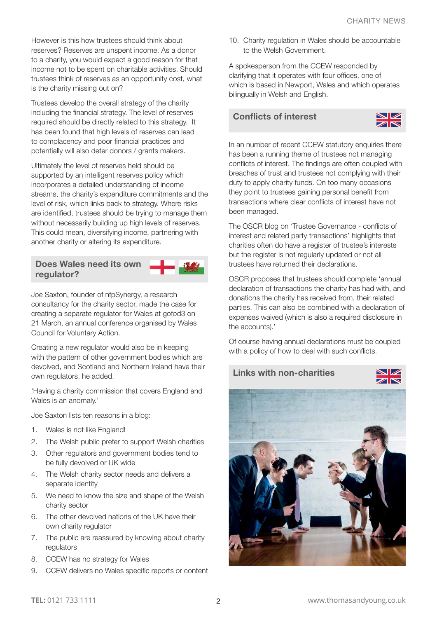However is this how trustees should think about reserves? Reserves are unspent income. As a donor to a charity, you would expect a good reason for that income not to be spent on charitable activities. Should trustees think of reserves as an opportunity cost, what is the charity missing out on?

Trustees develop the overall strategy of the charity including the financial strategy. The level of reserves required should be directly related to this strategy. It has been found that high levels of reserves can lead to complacency and poor financial practices and potentially will also deter donors / grants makers.

Ultimately the level of reserves held should be supported by an intelligent reserves policy which incorporates a detailed understanding of income streams, the charity's expenditure commitments and the level of risk, which links back to strategy. Where risks are identified, trustees should be trying to manage them without necessarily building up high levels of reserves. This could mean, diversifying income, partnering with another charity or altering its expenditure.

#### **Does Wales need its own regulator?**

Joe Saxton, founder of nfpSynergy, a research consultancy for the charity sector, made the case for creating a separate regulator for Wales at gofod3 on 21 March, an annual conference organised by Wales Council for Voluntary Action.

Creating a new regulator would also be in keeping with the pattern of other government bodies which are devolved, and Scotland and Northern Ireland have their own regulators, he added.

'Having a charity commission that covers England and Wales is an anomaly.'

Joe Saxton lists ten reasons in a blog:

- 1. Wales is not like England!
- 2. The Welsh public prefer to support Welsh charities
- 3. Other regulators and government bodies tend to be fully devolved or UK wide
- 4. The Welsh charity sector needs and delivers a separate identity
- 5. We need to know the size and shape of the Welsh charity sector
- 6. The other devolved nations of the UK have their own charity regulator
- 7. The public are reassured by knowing about charity regulators
- 8. CCEW has no strategy for Wales
- 9. CCEW delivers no Wales specific reports or content

10. Charity regulation in Wales should be accountable to the Welsh Government.

A spokesperson from the CCEW responded by clarifying that it operates with four offices, one of which is based in Newport, Wales and which operates bilingually in Welsh and English.

#### **Conflicts of interest**



In an number of recent CCEW statutory enquiries there has been a running theme of trustees not managing conflicts of interest. The findings are often coupled with breaches of trust and trustees not complying with their duty to apply charity funds. On too many occasions they point to trustees gaining personal benefit from transactions where clear conflicts of interest have not been managed.

The OSCR blog on 'Trustee Governance - conflicts of interest and related party transactions' highlights that charities often do have a register of trustee's interests but the register is not regularly updated or not all trustees have returned their declarations.

OSCR proposes that trustees should complete 'annual declaration of transactions the charity has had with, and donations the charity has received from, their related parties. This can also be combined with a declaration of expenses waived (which is also a required disclosure in the accounts).'

Of course having annual declarations must be coupled with a policy of how to deal with such conflicts.

**Links with non-charities**



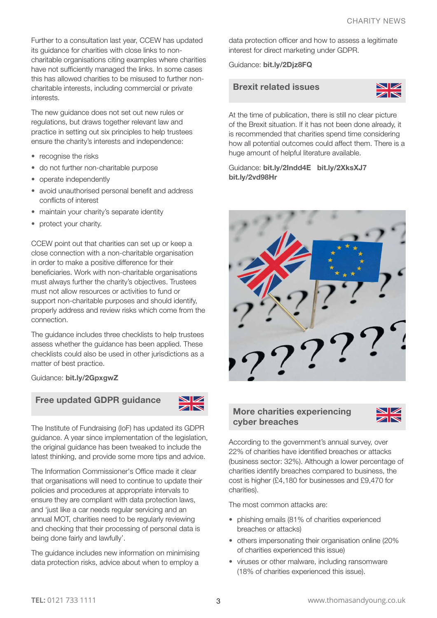Further to a consultation last year, CCEW has updated its guidance for charities with close links to noncharitable organisations citing examples where charities have not sufficiently managed the links. In some cases this has allowed charities to be misused to further noncharitable interests, including commercial or private interests.

The new guidance does not set out new rules or regulations, but draws together relevant law and practice in setting out six principles to help trustees ensure the charity's interests and independence:

- recognise the risks
- do not further non-charitable purpose
- operate independently
- avoid unauthorised personal benefit and address conflicts of interest
- maintain your charity's separate identity
- protect your charity.

CCEW point out that charities can set up or keep a close connection with a non-charitable organisation in order to make a positive difference for their beneficiaries. Work with non-charitable organisations must always further the charity's objectives. Trustees must not allow resources or activities to fund or support non-charitable purposes and should identify, properly address and review risks which come from the connection.

The guidance includes three checklists to help trustees assess whether the guidance has been applied. These checklists could also be used in other jurisdictions as a matter of best practice.

Guidance: **[bit.ly/2GpxgwZ](https://www.gov.uk/guidance/guidance-for-charities-with-a-connection-to-a-non-charity)**

#### **Free updated GDPR guidance**



The Institute of Fundraising (IoF) has updated its GDPR guidance. A year since implementation of the legislation, the original guidance has been tweaked to include the latest thinking, and provide some more tips and advice.

The Information Commissioner's Office made it clear that organisations will need to continue to update their policies and procedures at appropriate intervals to ensure they are compliant with data protection laws, and 'just like a car needs regular servicing and an annual MOT, charities need to be regularly reviewing and checking that their processing of personal data is being done fairly and lawfully'.

The guidance includes new information on minimising data protection risks, advice about when to employ a

data protection officer and how to assess a legitimate interest for direct marketing under GDPR.

Guidance: **[bit.ly/2Djz8FQ](https://www.institute-of-fundraising.org.uk/blog/gdpr-what-we-didnt-know-last-year/)**

#### **Brexit related issues**



At the time of publication, there is still no clear picture of the Brexit situation. If it has not been done already, it is recommended that charities spend time considering how all potential outcomes could affect them. There is a huge amount of helpful literature available.

#### Guidance: **[bit.ly/2Indd4E](https://www.ncvo.org.uk/policy-and-research/europe) [bit.ly/2XksXJ7](https://www.icaew.com/library/brexit-practical-guides/brexit-charities) [bit.ly/2vd98Hr](https://www.ncvo.org.uk/policy-and-research/europe)**



#### **More charities experiencing cyber breaches**



According to the government's annual survey, over 22% of charities have identified breaches or attacks (business sector: 32%). Although a lower percentage of charities identify breaches compared to business, the cost is higher (£4,180 for businesses and £9,470 for charities).

The most common attacks are:

- phishing emails (81% of charities experienced breaches or attacks)
- others impersonating their organisation online (20% of charities experienced this issue)
- viruses or other malware, including ransomware (18% of charities experienced this issue).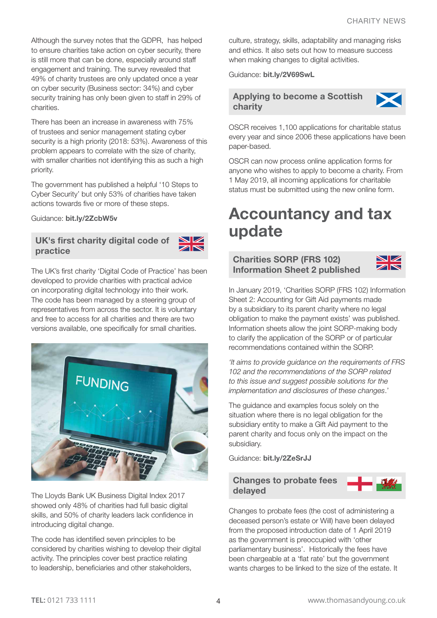Although the survey notes that the GDPR, has helped to ensure charities take action on cyber security, there is still more that can be done, especially around staff engagement and training. The survey revealed that 49% of charity trustees are only updated once a year on cyber security (Business sector: 34%) and cyber security training has only been given to staff in 29% of charities.

There has been an increase in awareness with 75% of trustees and senior management stating cyber security is a high priority (2018: 53%). Awareness of this problem appears to correlate with the size of charity, with smaller charities not identifying this as such a high priority.

The government has published a helpful '10 Steps to Cyber Security' but only 53% of charities have taken actions towards five or more of these steps.

Guidance: **[bit.ly/2ZcbW5v](https://www.ncsc.gov.uk/collection/10-steps-to-cyber-security)**

#### **UK's first charity digital code of practice**



The UK's first charity 'Digital Code of Practice' has been developed to provide charities with practical advice on incorporating digital technology into their work. The code has been managed by a steering group of representatives from across the sector. It is voluntary and free to access for all charities and there are two versions available, one specifically for small charities.



TheLloyds Bank UK Business Digital Index 2017 showed only 48% of charities had full basic digital skills, and 50% of charity leaders lack confidence in introducing digital change.

The code has identified seven principles to be considered by charities wishing to develop their digital activity. The principles cover best practice relating to leadership, beneficiaries and other stakeholders,

culture, strategy, skills, adaptability and managing risks and ethics. It also sets out how to measure success when making changes to digital activities.

Guidance: **[bit.ly/2V69SwL](https://doit.life/charity-digital-code)**

#### **Applying to become a Scottish charity**



OSCR receives 1,100 applications for charitable status every year and since 2006 these applications have been paper-based.

OSCR can now process online application forms for anyone who wishes to apply to become a charity. From 1 May 2019, all incoming applications for charitable status must be submitted using the new online form.

### **Accountancy and tax update**

#### **Charities SORP (FRS 102) Information Sheet 2 published**



In January 2019, 'Charities SORP (FRS 102) Information Sheet 2: Accounting for Gift Aid payments made by a subsidiary to its parent charity where no legal obligation to make the payment exists' was published. Information sheets allow the joint SORP-making body to clarify the application of the SORP or of particular recommendations contained within the SORP.

*'It aims to provide guidance on the requirements of FRS 102 and the recommendations of the SORP related to this issue and suggest possible solutions for the implementation and disclosures of these changes*.'

The guidance and examples focus solely on the situation where there is no legal obligation for the subsidiary entity to make a Gift Aid payment to the parent charity and focus only on the impact on the subsidiary.

Guidance: **[bit.ly/2ZeSrJJ](http://www.charitysorp.org/media/646752/Charities-SORP-Information-Sheet-2-January-2019.pdf)**



Changes to probate fees (the cost of administering a deceased person's estate or Will) have been delayed from the proposed introduction date of 1 April 2019 as the government is preoccupied with 'other parliamentary business'. Historically the fees have been chargeable at a 'flat rate' but the government wants charges to be linked to the size of the estate. It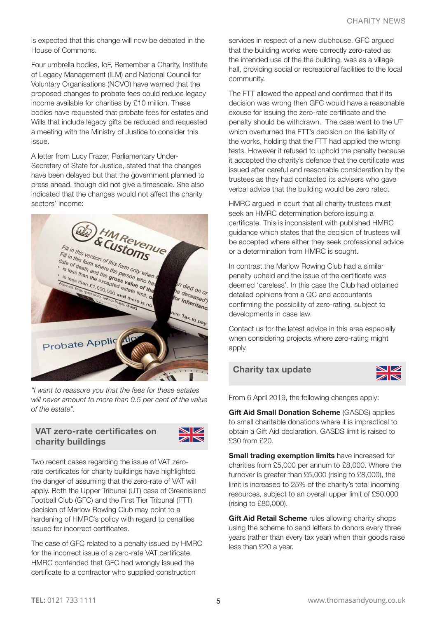is expected that this change will now be debated in the House of Commons.

Four umbrella bodies, IoF, Remember a Charity, Institute of Legacy Management (ILM) and National Council for Voluntary Organisations (NCVO) have warned that the proposed changes to probate fees could reduce legacy income available for charities by £10 million. These bodies have requested that probate fees for estates and Wills that include legacy gifts be reduced and requested a meeting with the Ministry of Justice to consider this issue.

A letter from Lucy Frazer, Parliamentary Under-Secretary of State for Justice, stated that the changes have been delayed but that the government planned to press ahead, though did not give a timescale. She also indicated that the changes would not affect the charity sectors' income:



*"I want to reassure you that the fees for these estates will never amount to more than 0.5 per cent of the value of the estate".* 

#### **VAT zero-rate certificates on charity buildings**



Two recent cases regarding the issue of VAT zerorate certificates for charity buildings have highlighted the danger of assuming that the zero-rate of VAT will apply. Both the Upper Tribunal (UT) case of Greenisland Football Club (GFC) and the First Tier Tribunal (FTT) decision of Marlow Rowing Club may point to a hardening of HMRC's policy with regard to penalties issued for incorrect certificates.

The case of GFC related to a penalty issued by HMRC for the incorrect issue of a zero-rate VAT certificate. HMRC contended that GFC had wrongly issued the certificate to a contractor who supplied construction

services in respect of a new clubhouse. GFC argued that the building works were correctly zero-rated as the intended use of the the building, was as a village hall, providing social or recreational facilities to the local community.

The FTT allowed the appeal and confirmed that if its decision was wrong then GFC would have a reasonable excuse for issuing the zero-rate certificate and the penalty should be withdrawn. The case went to the UT which overturned the FTT's decision on the liability of the works, holding that the FTT had applied the wrong tests. However it refused to uphold the penalty because it accepted the charity's defence that the certificate was issued after careful and reasonable consideration by the trustees as they had contacted its advisers who gave verbal advice that the building would be zero rated.

HMRC argued in court that all charity trustees must seek an HMRC determination before issuing a certificate. This is inconsistent with published HMRC guidance which states that the decision of trustees will be accepted where either they seek professional advice or a determination from HMRC is sought.

In contrast the Marlow Rowing Club had a similar penalty upheld and the issue of the certificate was deemed 'careless'. In this case the Club had obtained detailed opinions from a QC and accountants confirming the possibility of zero-rating, subject to developments in case law.

Contact us for the latest advice in this area especially when considering projects where zero-rating might apply.

#### **Charity tax update**



From 6 April 2019, the following changes apply:

**Gift Aid Small Donation Scheme** (GASDS) applies to small charitable donations where it is impractical to obtain a Gift Aid declaration. GASDS limit is raised to £30 from £20.

**Small trading exemption limits** have increased for charities from £5,000 per annum to £8,000. Where the turnover is greater than £5,000 (rising to £8,000), the limit is increased to 25% of the charity's total incoming resources, subject to an overall upper limit of £50,000 (rising to £80,000).

**Gift Aid Retail Scheme** rules allowing charity shops using the scheme to send letters to donors every three years (rather than every tax year) when their goods raise less than £20 a year.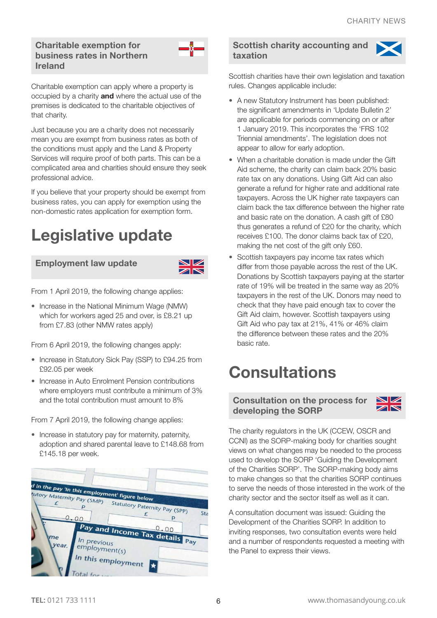#### **Charitable exemption for business rates in Northern Ireland**



Charitable exemption can apply where a property is occupied by a charity **and** where the actual use of the premises is dedicated to the charitable objectives of that charity.

Just because you are a charity does not necessarily mean you are exempt from business rates as both of the conditions must apply and the Land & Property Services will require proof of both parts. This can be a complicated area and charities should ensure they seek professional advice.

If you believe that your property should be exempt from business rates, you can apply for exemption using the non-domestic rates application for exemption form.

## **Legislative update**

#### **Employment law update**



From 1 April 2019, the following change applies:

• Increase in the National Minimum Wage (NMW) which for workers aged 25 and over, is £8.21 up from £7.83 (other NMW rates apply)

From 6 April 2019, the following changes apply:

- Increase in Statutory Sick Pay (SSP) to £94.25 from £92.05 per week
- Increase in Auto Enrolment Pension contributions where employers must contribute a minimum of 3% and the total contribution must amount to 8%

From 7 April 2019, the following change applies:

• Increase in statutory pay for maternity, paternity, adoption and shared parental leave to £148.68 from £145.18 per week.



#### **Scottish charity accounting and taxation**



Scottish charities have their own legislation and taxation rules. Changes applicable include:

- A new Statutory Instrument has been published: the significant amendments in 'Update Bulletin 2' are applicable for periods commencing on or after 1 January 2019. This incorporates the 'FRS 102 Triennial amendments'. The legislation does not appear to allow for early adoption.
- When a charitable donation is made under the Gift Aid scheme, the charity can claim back 20% basic rate tax on any donations. Using Gift Aid can also generate a refund for higher rate and additional rate taxpayers. Across the UK higher rate taxpayers can claim back the tax difference between the higher rate and basic rate on the donation. A cash gift of £80 thus generates a refund of £20 for the charity, which receives £100. The donor claims back tax of £20, making the net cost of the gift only £60.
- Scottish taxpayers pay income tax rates which differ from those payable across the rest of the UK. Donations by Scottish taxpayers paying at the starter rate of 19% will be treated in the same way as 20% taxpayers in the rest of the UK. Donors may need to check that they have paid enough tax to cover the Gift Aid claim, however. Scottish taxpayers using Gift Aid who pay tax at 21%, 41% or 46% claim the difference between these rates and the 20% basic rate.

## **Consultations**

**Consultation on the process for developing the SORP**



The charity regulators in the UK (CCEW, OSCR and CCNI) as the SORP-making body for charities sought views on what changes may be needed to the process used to develop the SORP 'Guiding the Development of the Charities SORP'. The SORP-making body aims to make changes so that the charities SORP continues to serve the needs of those interested in the work of the charity sector and the sector itself as well as it can.

A consultation document was issued: Guiding the Development of the Charities SORP. In addition to inviting responses, two consultation events were held and a number of respondents requested a meeting with the Panel to express their views.